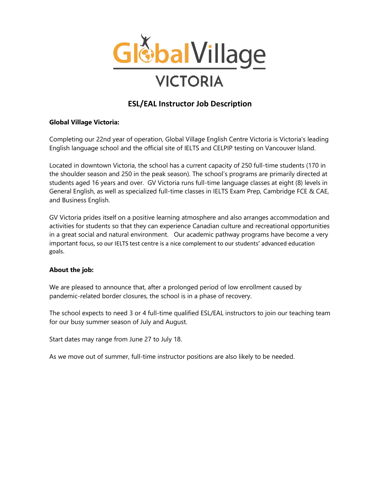

# **ESL/EAL Instructor Job Description**

### **Global Village Victoria:**

Completing our 22nd year of operation, Global Village English Centre Victoria is Victoria's leading English language school and the official site of IELTS and CELPIP testing on Vancouver Island.

Located in downtown Victoria, the school has a current capacity of 250 full-time students (170 in the shoulder season and 250 in the peak season). The school's programs are primarily directed at students aged 16 years and over. GV Victoria runs full-time language classes at eight (8) levels in General English, as well as specialized full-time classes in IELTS Exam Prep, Cambridge FCE & CAE, and Business English.

GV Victoria prides itself on a positive learning atmosphere and also arranges accommodation and activities for students so that they can experience Canadian culture and recreational opportunities in a great social and natural environment. Our academic pathway programs have become a very important focus, so our IELTS test centre is a nice complement to our students' advanced education goals.

#### **About the job:**

We are pleased to announce that, after a prolonged period of low enrollment caused by pandemic-related border closures, the school is in a phase of recovery.

The school expects to need 3 or 4 full-time qualified ESL/EAL instructors to join our teaching team for our busy summer season of July and August.

Start dates may range from June 27 to July 18.

As we move out of summer, full-time instructor positions are also likely to be needed.